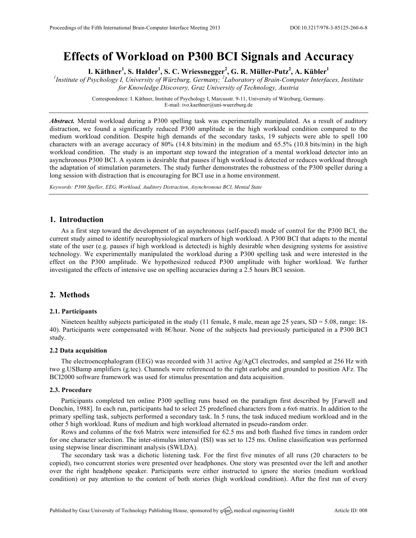# **Effects of Workload on P300 BCI Signals and Accuracy**

**I. Käthner<sup>1</sup> , S. Halder<sup>1</sup> , S. C. Wriessnegger<sup>2</sup> , G. R. Müller-Putz<sup>2</sup> , A. Kübler<sup>1</sup>**

*1 Institute of Psychology I, University of Würzburg, Germany; <sup>2</sup> Laboratory of Brain-Computer Interfaces, Institute for Knowledge Discovery, Graz University of Technology, Austria* 

> Correspondence: I. Käthner, Institute of Psychology I, Marcusstr. 9-11, University of Würzburg, Germany. E-mail: ivo.kaethner@uni-wuerzburg.de

*Abstract.* Mental workload during a P300 spelling task was experimentally manipulated. As a result of auditory distraction, we found a significantly reduced P300 amplitude in the high workload condition compared to the medium workload condition. Despite high demands of the secondary tasks, 19 subjects were able to spell 100 characters with an average accuracy of 80% (14.8 bits/min) in the medium and 65.5% (10.8 bits/min) in the high workload condition. The study is an important step toward the integration of a mental workload detector into an asynchronous P300 BCI. A system is desirable that pauses if high workload is detected or reduces workload through the adaptation of stimulation parameters. The study further demonstrates the robustness of the P300 speller during a long session with distraction that is encouraging for BCI use in a home environment.

*Keywords: P300 Speller, EEG, Workload, Auditory Distraction, Asynchronous BCI, Mental State*

## **1. Introduction**

As a first step toward the development of an asynchronous (self-paced) mode of control for the P300 BCI, the current study aimed to identify neurophysiological markers of high workload. A P300 BCI that adapts to the mental state of the user (e.g. pauses if high workload is detected) is highly desirable when designing systems for assistive technology. We experimentally manipulated the workload during a P300 spelling task and were interested in the effect on the P300 amplitude. We hypothesized reduced P300 amplitude with higher workload. We further investigated the effects of intensive use on spelling accuracies during a 2.5 hours BCI session.

## **2. Methods**

#### **2.1. Participants**

Nineteen healthy subjects participated in the study (11 female, 8 male, mean age 25 years,  $SD = 5.08$ , range: 18-40). Participants were compensated with 8€/hour. None of the subjects had previously participated in a P300 BCI study.

## **2.2 Data acquisition**

The electroencephalogram (EEG) was recorded with 31 active Ag/AgCl electrodes, and sampled at 256 Hz with two g.USBamp amplifiers (g.tec). Channels were referenced to the right earlobe and grounded to position AFz. The BCI2000 software framework was used for stimulus presentation and data acquisition.

#### **2.3. Procedure**

Participants completed ten online P300 spelling runs based on the paradigm first described by [Farwell and Donchin, 1988]. In each run, participants had to select 25 predefined characters from a 6x6 matrix. In addition to the primary spelling task, subjects performed a secondary task. In 5 runs, the task induced medium workload and in the other 5 high workload. Runs of medium and high workload alternated in pseudo-random order.

Rows and columns of the 6x6 Matrix were intensified for 62.5 ms and both flashed five times in random order for one character selection. The inter-stimulus interval (ISI) was set to 125 ms. Online classification was performed using stepwise linear discriminant analysis (SWLDA).

The secondary task was a dichotic listening task. For the first five minutes of all runs (20 characters to be copied), two concurrent stories were presented over headphones. One story was presented over the left and another over the right headphone speaker. Participants were either instructed to ignore the stories (medium workload condition) or pay attention to the content of both stories (high workload condition). After the first run of every